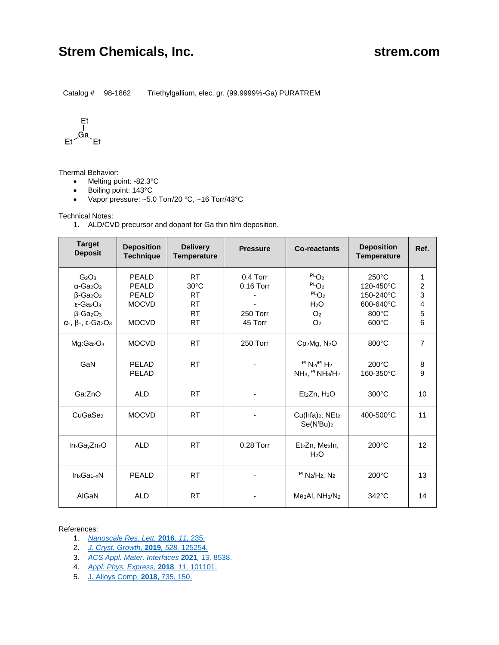# **Strem Chemicals, Inc. Strem.com Strem.com**

Catalog # 98-1862 Triethylgallium, elec. gr. (99.9999%-Ga) PURATREM

$$
\begin{array}{c}\n \text{Et} \\
\downarrow \\
\text{Ga} \\
\text{Et} \\
\end{array}
$$

Thermal Behavior:

- Melting point: -82.3°C
- Boiling point: 143°C
- Vapor pressure: ~5.0 Torr/20 °C, ~16 Torr/43°C

Technical Notes:

1. ALD/CVD precursor and dopant for Ga thin film deposition.

| <b>Target</b><br><b>Deposit</b>                                                                                                                                                                                                     | <b>Deposition</b><br><b>Technique</b>                                 | <b>Delivery</b><br><b>Temperature</b>                                           | <b>Pressure</b>                                  | <b>Co-reactants</b>                                                                                              | <b>Deposition</b><br><b>Temperature</b>                                            | Ref.                                    |
|-------------------------------------------------------------------------------------------------------------------------------------------------------------------------------------------------------------------------------------|-----------------------------------------------------------------------|---------------------------------------------------------------------------------|--------------------------------------------------|------------------------------------------------------------------------------------------------------------------|------------------------------------------------------------------------------------|-----------------------------------------|
| G <sub>2</sub> O <sub>3</sub><br>$\alpha$ -Ga <sub>2</sub> O <sub>3</sub><br>$\beta$ -Ga <sub>2</sub> O <sub>3</sub><br>$\epsilon$ -Ga <sub>2</sub> O <sub>3</sub><br>$\beta$ -Ga <sub>2</sub> O <sub>3</sub><br>α-, β-, ε- $Ga2O3$ | <b>PEALD</b><br><b>PEALD</b><br>PEALD<br><b>MOCVD</b><br><b>MOCVD</b> | <b>RT</b><br>$30^{\circ}$ C<br><b>RT</b><br><b>RT</b><br><b>RT</b><br><b>RT</b> | $0.4$ Torr<br>$0.16$ Torr<br>250 Torr<br>45 Torr | PLO <sub>2</sub><br>PLO <sub>2</sub><br>PLO <sub>2</sub><br>H <sub>2</sub> O<br>O <sub>2</sub><br>O <sub>2</sub> | $250^{\circ}$ C<br>120-450°C<br>150-240°C<br>600-640°C<br>800°C<br>$600^{\circ}$ C | 1<br>$\overline{2}$<br>3<br>4<br>5<br>6 |
| Mg:Ga <sub>2</sub> O <sub>3</sub>                                                                                                                                                                                                   | <b>MOCVD</b>                                                          | <b>RT</b>                                                                       | 250 Torr                                         | $Cp_2Mg$ , $N_2O$                                                                                                | 800°C                                                                              | $\overline{7}$                          |
| GaN                                                                                                                                                                                                                                 | PELAD<br>PELAD                                                        | <b>RT</b>                                                                       |                                                  | PLN <sub>2</sub> /PLH <sub>2</sub><br>$NH_3$ , $PLNH_3/H_2$                                                      | $200^{\circ}$ C<br>160-350°C                                                       | 8<br>9                                  |
| Ga:ZnO                                                                                                                                                                                                                              | <b>ALD</b>                                                            | <b>RT</b>                                                                       |                                                  | Et <sub>2</sub> Zn, H <sub>2</sub> O                                                                             | $300^{\circ}$ C                                                                    | 10                                      |
| CuGaSe <sub>2</sub>                                                                                                                                                                                                                 | <b>MOCVD</b>                                                          | <b>RT</b>                                                                       |                                                  | $Cu(hfa)_2$ ; NEt <sub>2</sub><br>Se(N <sup>t</sup> Bu) <sub>2</sub>                                             | 400-500°C                                                                          | 11                                      |
| $In_xGa_yZn_zO$                                                                                                                                                                                                                     | <b>ALD</b>                                                            | <b>RT</b>                                                                       | 0.28 Torr                                        | Et <sub>2</sub> Zn, Me <sub>3</sub> In,<br>H <sub>2</sub> O                                                      | $200^{\circ}$ C                                                                    | 12                                      |
| $In_xGa_{1-x}N$                                                                                                                                                                                                                     | <b>PEALD</b>                                                          | <b>RT</b>                                                                       |                                                  | $PLN_2/H_2$ , $N_2$                                                                                              | $200^{\circ}$ C                                                                    | 13                                      |
| AIGaN                                                                                                                                                                                                                               | <b>ALD</b>                                                            | <b>RT</b>                                                                       |                                                  | $Me3Al$ , $NH3/N2$                                                                                               | $342^{\circ}$ C                                                                    | 14                                      |

### References:

- 1. *[Nanoscale Res. Lett.](https://doi.org/10.1186/s11671-016-1448-z)* **2016***, 11,* 235.
- 2. *[J. Cryst. Growth,](https://doi.org/10.1016/j.jcrysgro.2019.125254)* **2019***, 528,* 125254.
- 3. *[ACS Appl. Mater. Interfaces](https://doi.org/10.1021/acsami.0c21128)* **2021***, 13,* 8538.
- 4. *[Appl. Phys. Express,](https://doi.org/10.7567/APEX.11.101101)* **2018***, 11,* 101101.
- 5. [J. Alloys Comp.](https://doi.org/10.1016/j.jallcom.2017.11.037) **2018**, 735, 150.